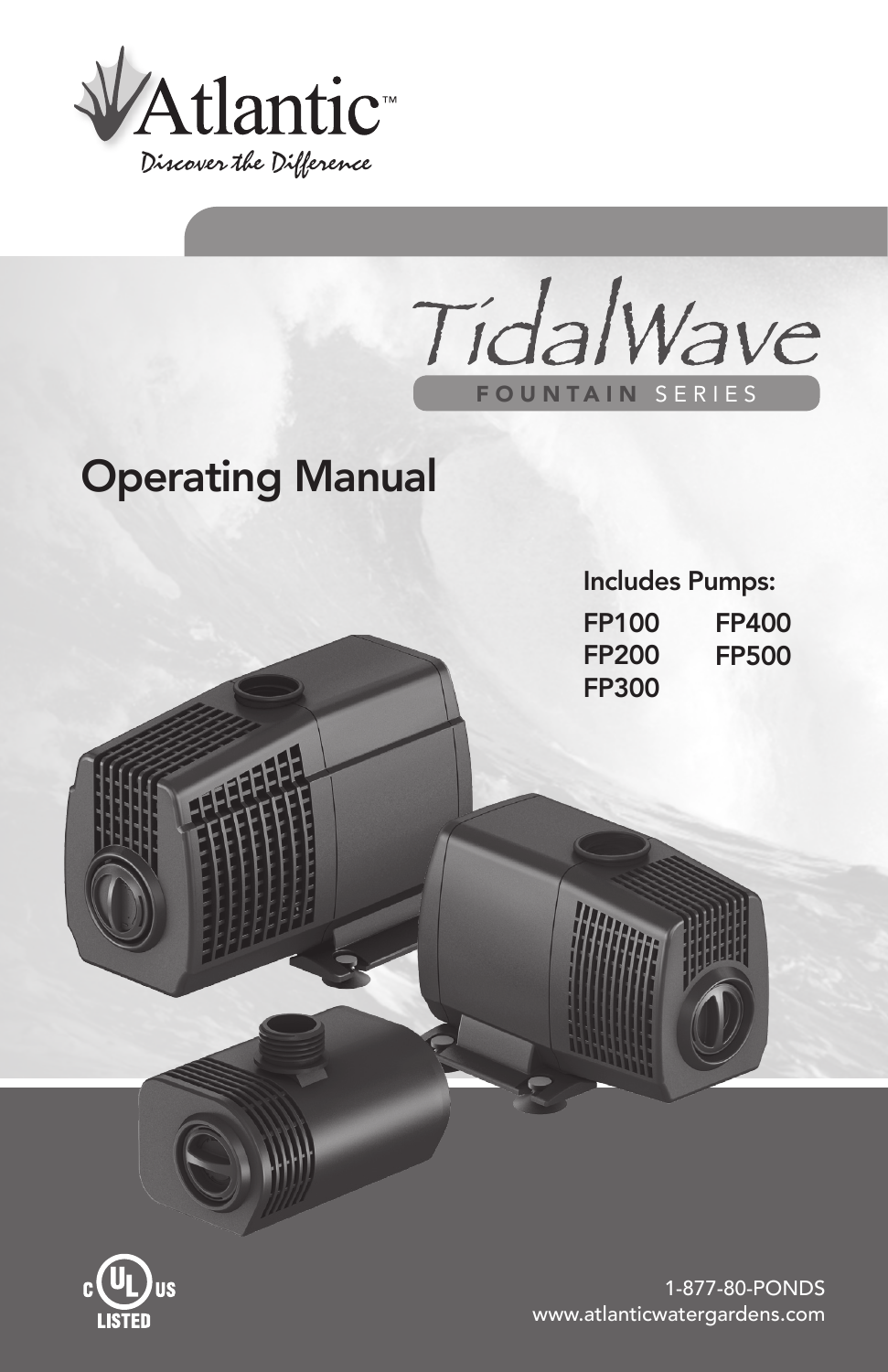

TidalWave FOUNTAIN SERIES

# Operating Manual





1-877-80-PONDS www.atlanticwatergardens.com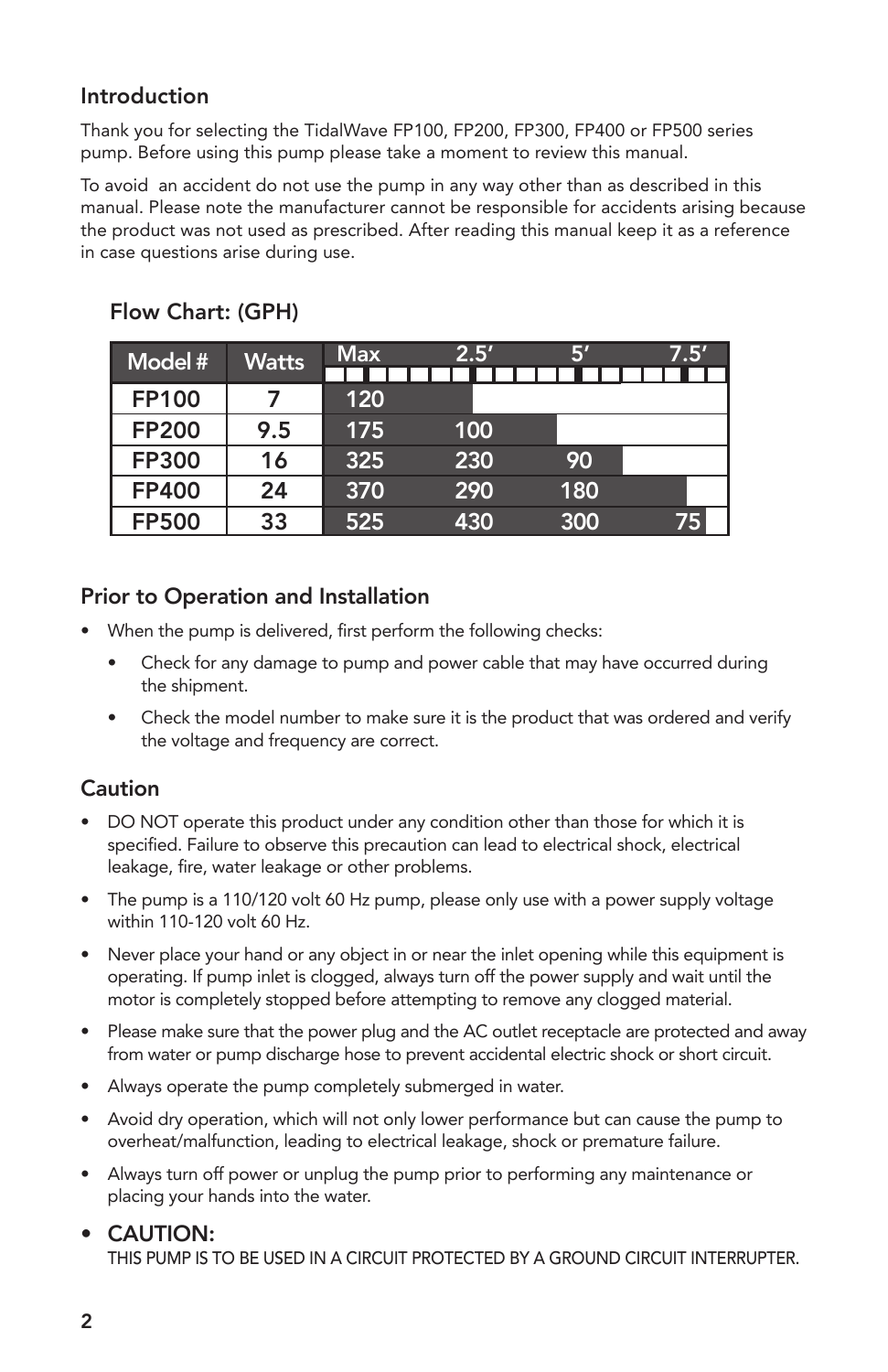#### Introduction

Thank you for selecting the TidalWave FP100, FP200, FP300, FP400 or FP500 series pump. Before using this pump please take a moment to review this manual.

To avoid an accident do not use the pump in any way other than as described in this manual. Please note the manufacturer cannot be responsible for accidents arising because the product was not used as prescribed. After reading this manual keep it as a reference in case questions arise during use.

| Model #      | <b>Watts</b> | <b>Max</b> | 2.5' | ß   | 7.5' |
|--------------|--------------|------------|------|-----|------|
| <b>FP100</b> |              | 120        |      |     |      |
| <b>FP200</b> | 9.5          | 175        | 100  |     |      |
| <b>FP300</b> | 16           | 325        | 230  | 90  |      |
| FP400        | 24           | 370        | 290  | 180 |      |
| <b>FP500</b> | 33           | 525        | 430  | 300 | 75   |

# Flow Chart: (GPH)

#### Prior to Operation and Installation

- When the pump is delivered, first perform the following checks:
	- Check for any damage to pump and power cable that may have occurred during the shipment.
	- Check the model number to make sure it is the product that was ordered and verify the voltage and frequency are correct.

#### Caution

- DO NOT operate this product under any condition other than those for which it is specified. Failure to observe this precaution can lead to electrical shock, electrical leakage, fire, water leakage or other problems.
- The pump is a 110/120 volt 60 Hz pump, please only use with a power supply voltage within 110-120 volt 60 Hz.
- Never place your hand or any object in or near the inlet opening while this equipment is operating. If pump inlet is clogged, always turn off the power supply and wait until the motor is completely stopped before attempting to remove any clogged material.
- Please make sure that the power plug and the AC outlet receptacle are protected and away from water or pump discharge hose to prevent accidental electric shock or short circuit.
- • Always operate the pump completely submerged in water.
- Avoid dry operation, which will not only lower performance but can cause the pump to overheat/malfunction, leading to electrical leakage, shock or premature failure.
- • Always turn off power or unplug the pump prior to performing any maintenance or placing your hands into the water.

#### • CAUTION:

THIS PUMP IS TO BE USED IN A CIRCUIT PROTECTED BY A GROUND CIRCUIT INTERRUPTER.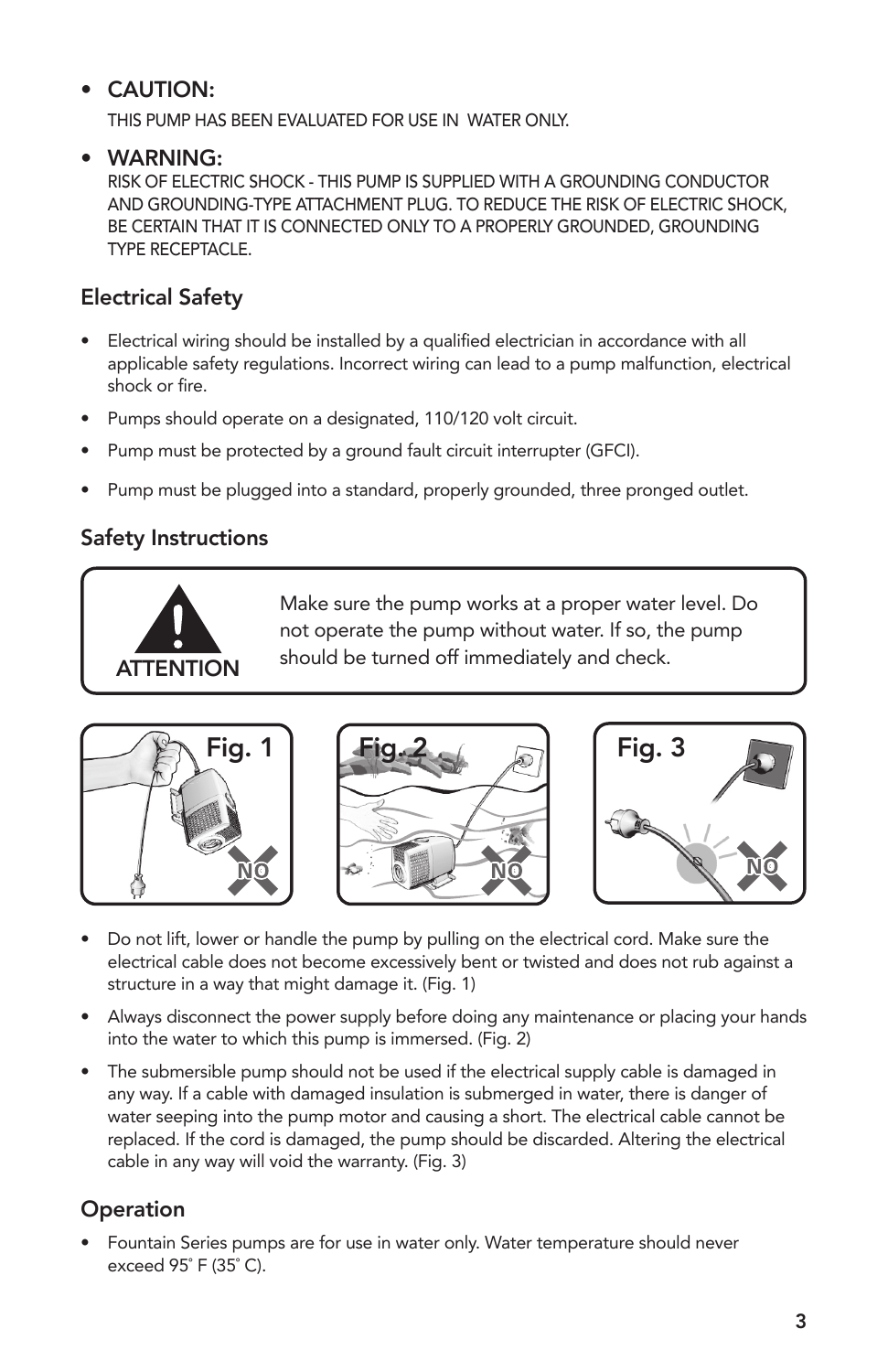## • CAUTION:

THIS PUMP HAS BEEN EVALUATED FOR USE IN WATER ONLY.

#### • WARNING:

RISK OF ELECTRIC SHOCK - THIS PUMP IS SUPPLIED WITH A GROUNDING CONDUCTOR AND GROUNDING-TYPE ATTACHMENT PLUG. TO REDUCE THE RISK OF ELECTRIC SHOCK, BE CERTAIN THAT IT IS CONNECTED ONLY TO A PROPERLY GROUNDED, GROUNDING TYPE RECEPTACLE.

## Electrical Safety

- Electrical wiring should be installed by a qualified electrician in accordance with all applicable safety regulations. Incorrect wiring can lead to a pump malfunction, electrical shock or fire.
- Pumps should operate on a designated, 110/120 volt circuit.
- Pump must be protected by a ground fault circuit interrupter (GFCI).
- Pump must be plugged into a standard, properly grounded, three pronged outlet.

## Safety Instructions



Make sure the pump works at a proper water level. Do not operate the pump without water. If so, the pump should be turned off immediately and check.







- Do not lift, lower or handle the pump by pulling on the electrical cord. Make sure the electrical cable does not become excessively bent or twisted and does not rub against a structure in a way that might damage it. (Fig. 1)
- Always disconnect the power supply before doing any maintenance or placing your hands into the water to which this pump is immersed. (Fig. 2)
- The submersible pump should not be used if the electrical supply cable is damaged in any way. If a cable with damaged insulation is submerged in water, there is danger of water seeping into the pump motor and causing a short. The electrical cable cannot be replaced. If the cord is damaged, the pump should be discarded. Altering the electrical cable in any way will void the warranty. (Fig. 3)

## **Operation**

Fountain Series pumps are for use in water only. Water temperature should never exceed 95˚ F (35˚ C).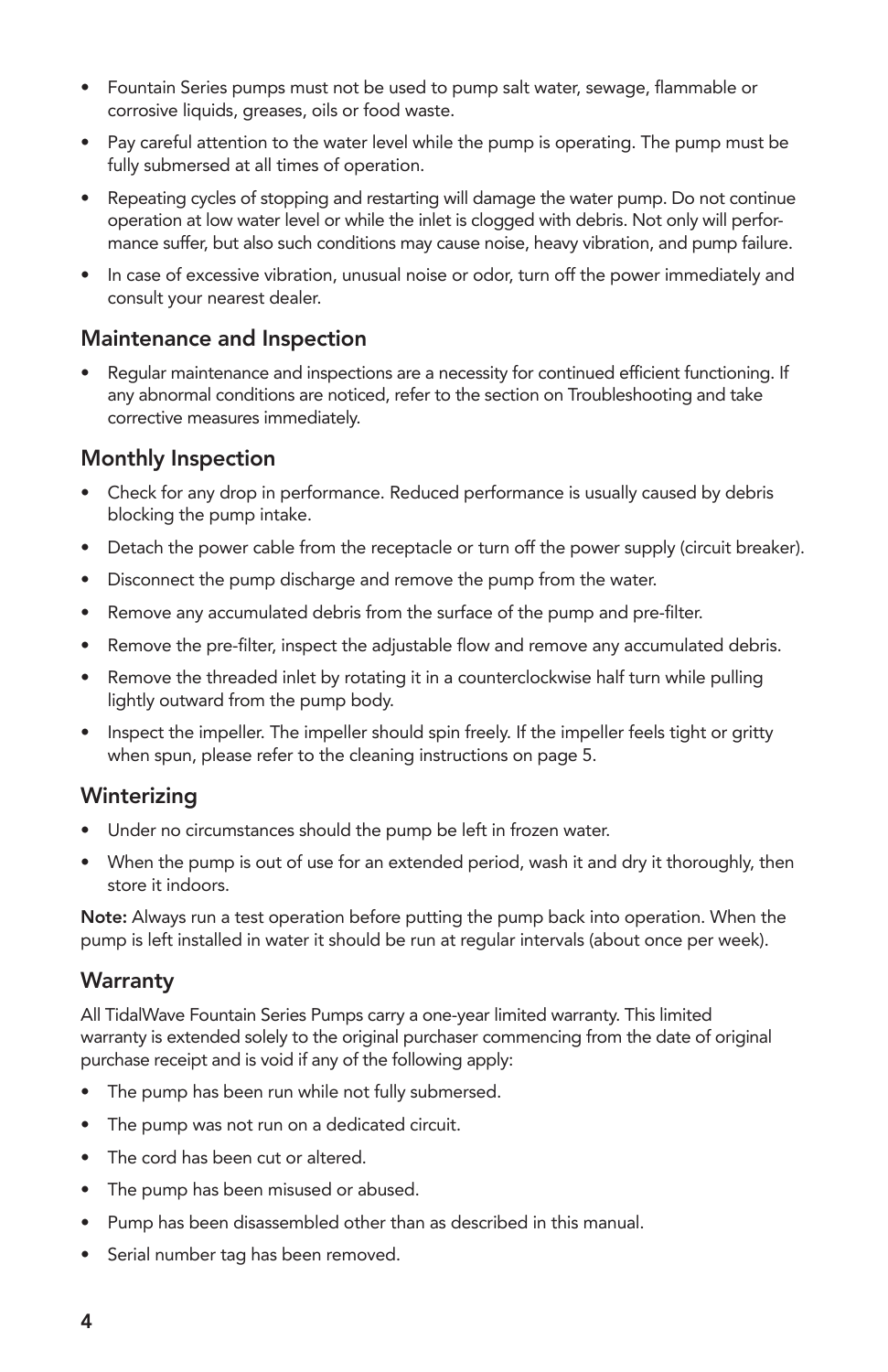- Fountain Series pumps must not be used to pump salt water, sewage, flammable or corrosive liquids, greases, oils or food waste.
- Pay careful attention to the water level while the pump is operating. The pump must be fully submersed at all times of operation.
- Repeating cycles of stopping and restarting will damage the water pump. Do not continue operation at low water level or while the inlet is clogged with debris. Not only will perfor- mance suffer, but also such conditions may cause noise, heavy vibration, and pump failure.
- In case of excessive vibration, unusual noise or odor, turn off the power immediately and consult your nearest dealer.

#### Maintenance and Inspection

Regular maintenance and inspections are a necessity for continued efficient functioning. If any abnormal conditions are noticed, refer to the section on Troubleshooting and take corrective measures immediately.

#### Monthly Inspection

- Check for any drop in performance. Reduced performance is usually caused by debris blocking the pump intake.
- Detach the power cable from the receptacle or turn off the power supply (circuit breaker).
- Disconnect the pump discharge and remove the pump from the water.
- Remove any accumulated debris from the surface of the pump and pre-filter.
- Remove the pre-filter, inspect the adjustable flow and remove any accumulated debris.
- Remove the threaded inlet by rotating it in a counterclockwise half turn while pulling lightly outward from the pump body.
- Inspect the impeller. The impeller should spin freely. If the impeller feels tight or gritty when spun, please refer to the cleaning instructions on page 5.

#### Winterizing

- Under no circumstances should the pump be left in frozen water.
- When the pump is out of use for an extended period, wash it and dry it thoroughly, then store it indoors.

Note: Always run a test operation before putting the pump back into operation. When the pump is left installed in water it should be run at regular intervals (about once per week).

#### **Warranty**

All TidalWave Fountain Series Pumps carry a one-year limited warranty. This limited warranty is extended solely to the original purchaser commencing from the date of original purchase receipt and is void if any of the following apply:

- The pump has been run while not fully submersed.
- The pump was not run on a dedicated circuit.
- The cord has been cut or altered.
- The pump has been misused or abused.
- Pump has been disassembled other than as described in this manual.
- • Serial number tag has been removed.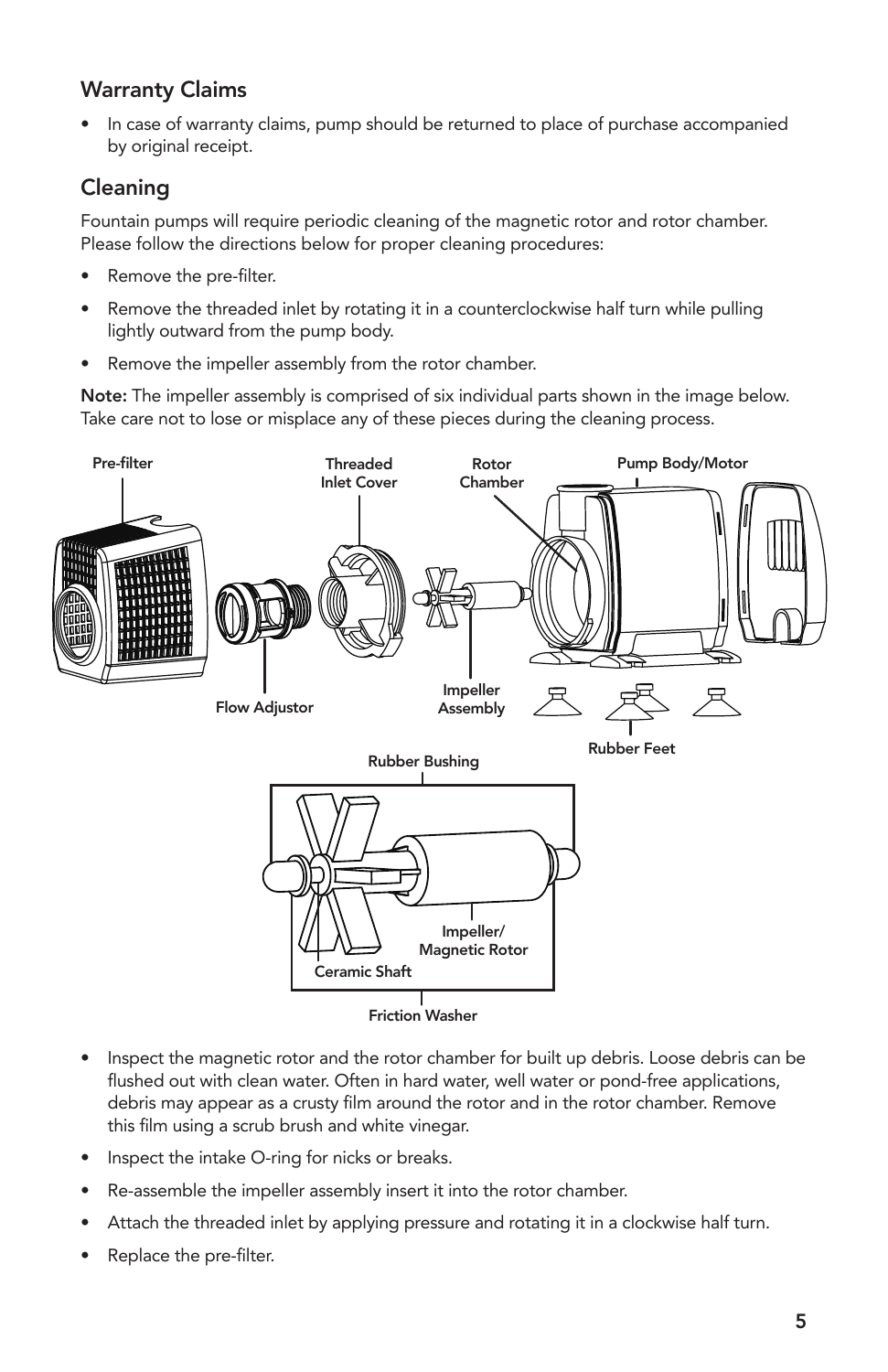## Warranty Claims

In case of warranty claims, pump should be returned to place of purchase accompanied by original receipt.

## Cleaning

Fountain pumps will require periodic cleaning of the magnetic rotor and rotor chamber. Please follow the directions below for proper cleaning procedures:

- Remove the pre-filter.
- Remove the threaded inlet by rotating it in a counterclockwise half turn while pulling lightly outward from the pump body.
- Remove the impeller assembly from the rotor chamber.

Note: The impeller assembly is comprised of six individual parts shown in the image below. Take care not to lose or misplace any of these pieces during the cleaning process.



- Inspect the magnetic rotor and the rotor chamber for built up debris. Loose debris can be flushed out with clean water. Often in hard water, well water or pond-free applications, debris may appear as a crusty film around the rotor and in the rotor chamber. Remove this film using a scrub brush and white vinegar.
- Inspect the intake O-ring for nicks or breaks.
- Re-assemble the impeller assembly insert it into the rotor chamber.
- Attach the threaded inlet by applying pressure and rotating it in a clockwise half turn.
- Replace the pre-filter.